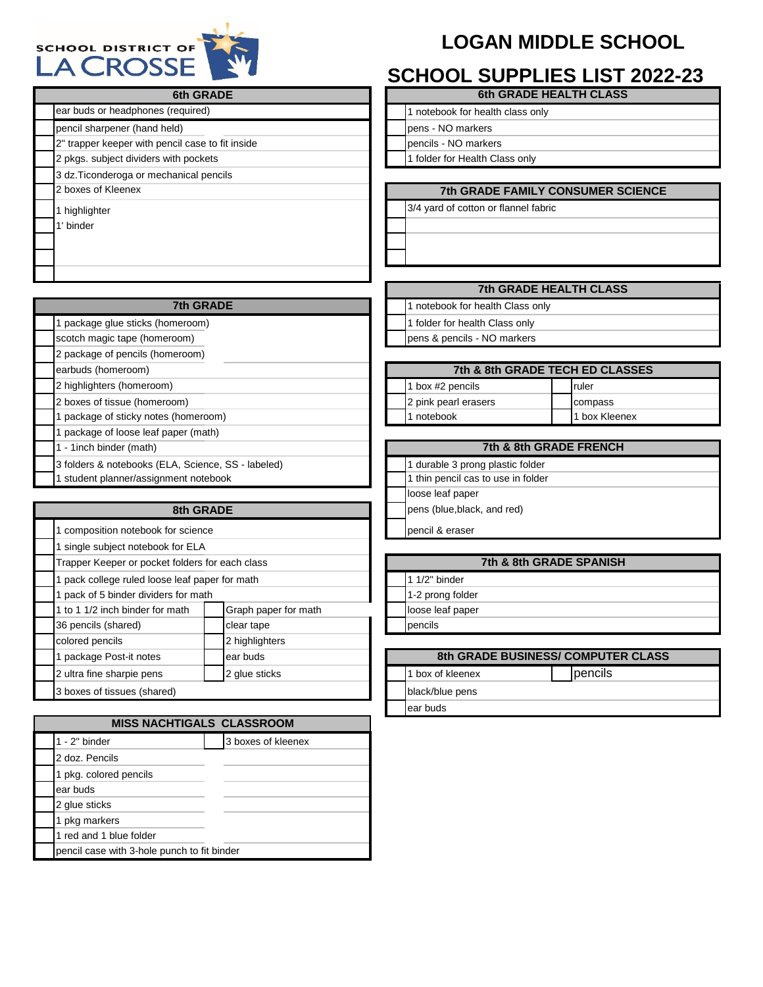## **LOGAN MIDDLE SCHOOL**



## **SCHOOL SUPPLIES LIST 2022-23**

| <b>6th GRADE</b>                                   | <b>6th GRADE HEALTH CLASS</b>            |  |  |  |  |  |
|----------------------------------------------------|------------------------------------------|--|--|--|--|--|
| ear buds or headphones (required)                  | 1 notebook for health class only         |  |  |  |  |  |
| pencil sharpener (hand held)                       | pens - NO markers                        |  |  |  |  |  |
| 2" trapper keeper with pencil case to fit inside   | pencils - NO markers                     |  |  |  |  |  |
| 2 pkgs. subject dividers with pockets              | 1 folder for Health Class only           |  |  |  |  |  |
| 3 dz. Ticonderoga or mechanical pencils            |                                          |  |  |  |  |  |
| 2 boxes of Kleenex                                 | <b>7th GRADE FAMILY CONSUMER SCIENCE</b> |  |  |  |  |  |
| 1 highlighter                                      | 3/4 yard of cotton or flannel fabric     |  |  |  |  |  |
| 1' binder                                          |                                          |  |  |  |  |  |
|                                                    |                                          |  |  |  |  |  |
|                                                    |                                          |  |  |  |  |  |
|                                                    |                                          |  |  |  |  |  |
|                                                    | <b>7th GRADE HEALTH CLASS</b>            |  |  |  |  |  |
| <b>7th GRADE</b>                                   | 1 notebook for health Class only         |  |  |  |  |  |
| 1 package glue sticks (homeroom)                   | 1 folder for health Class only           |  |  |  |  |  |
| scotch magic tape (homeroom)                       | pens & pencils - NO markers              |  |  |  |  |  |
| 2 package of pencils (homeroom)                    |                                          |  |  |  |  |  |
| earbuds (homeroom)                                 | 7th & 8th GRADE TECH ED CLASSES          |  |  |  |  |  |
| 2 highlighters (homeroom)                          | 1 box #2 pencils<br>ruler                |  |  |  |  |  |
| 2 boxes of tissue (homeroom)                       | 2 pink pearl erasers<br>compass          |  |  |  |  |  |
| 1 package of sticky notes (homeroom)               | 1 notebook<br>1 box Kleenex              |  |  |  |  |  |
| 1 package of loose leaf paper (math)               |                                          |  |  |  |  |  |
| 1 - 1inch binder (math)                            | 7th & 8th GRADE FRENCH                   |  |  |  |  |  |
| 3 folders & notebooks (ELA, Science, SS - labeled) | 1 durable 3 prong plastic folder         |  |  |  |  |  |
| student planner/assignment notebook                | 1 thin pencil cas to use in folder       |  |  |  |  |  |
|                                                    | loose leaf paper                         |  |  |  |  |  |
| 8th GRADE                                          | pens (blue, black, and red)              |  |  |  |  |  |
| 1 composition notebook for science                 | pencil & eraser                          |  |  |  |  |  |
| 1 single subject notebook for ELA                  |                                          |  |  |  |  |  |
| Trapper Keeper or pocket folders for each class    | 7th & 8th GRADE SPANISH                  |  |  |  |  |  |
| 1 nack college ruled loose leaf paper for math     | $1.1/2"$ hinder                          |  |  |  |  |  |

1-2 prong folder

loose leaf paper

black/blue pens ear buds

1 box of kleenex **2 glue sticks 1 pencils** 

**8th GRADE BUSINESS/ COMPUTER CLASS**

|                                 | 1 pack college ruled loose leaf paper for math |               |               |  |
|---------------------------------|------------------------------------------------|---------------|---------------|--|
|                                 | 1 pack of 5 binder dividers for math           |               |               |  |
| 1 to 1 1/2 inch binder for math | Graph paper for math                           |               | loose leaf pa |  |
| 36 pencils (shared)             | clear tape                                     |               | pencils       |  |
| colored pencils                 | 2 highlighters                                 |               |               |  |
| 1 package Post-it notes         | ear buds                                       |               | 8th G         |  |
| 2 ultra fine sharpie pens       | 2 glue sticks                                  |               | 1 box of klee |  |
| 3 boxes of tissues (shared)     |                                                | black/blue pe |               |  |
|                                 |                                                |               | oor hude      |  |

| <b>MISS NACHTIGALS CLASSROOM</b>            |  |                    |  |  |  |
|---------------------------------------------|--|--------------------|--|--|--|
| $1 - 2"$ binder                             |  | 3 boxes of kleenex |  |  |  |
| 2 doz. Pencils                              |  |                    |  |  |  |
| 1 pkg. colored pencils                      |  |                    |  |  |  |
| ear buds                                    |  |                    |  |  |  |
| 2 glue sticks                               |  |                    |  |  |  |
| 1 pkg markers                               |  |                    |  |  |  |
| 1 red and 1 blue folder                     |  |                    |  |  |  |
| pencil case with 3-hole punch to fit binder |  |                    |  |  |  |